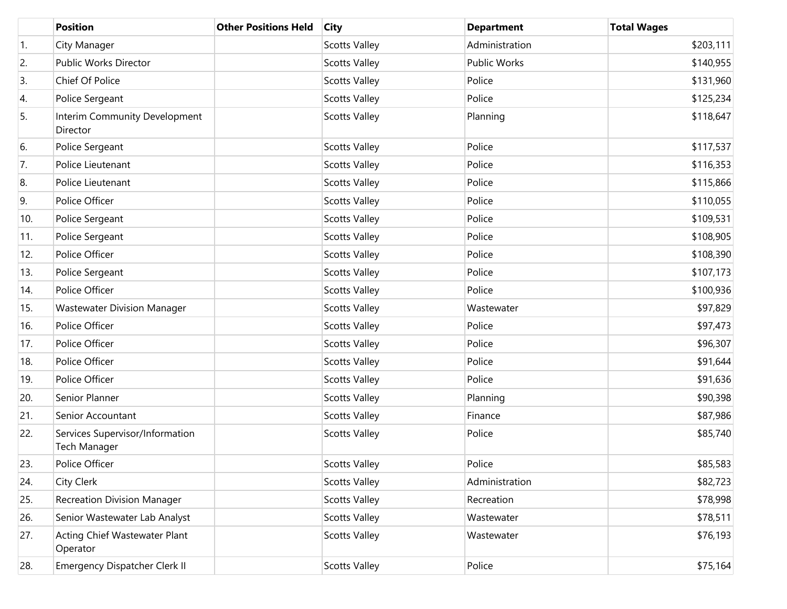|     | <b>Position</b>                                 | <b>Other Positions Held</b> | <b>City</b>          | <b>Department</b> | <b>Total Wages</b> |
|-----|-------------------------------------------------|-----------------------------|----------------------|-------------------|--------------------|
| 1.  | City Manager                                    |                             | <b>Scotts Valley</b> | Administration    | \$203,111          |
| 2.  | Public Works Director                           |                             | <b>Scotts Valley</b> | Public Works      | \$140,955          |
| 3.  | Chief Of Police                                 |                             | <b>Scotts Valley</b> | Police            | \$131,960          |
| 4.  | Police Sergeant                                 |                             | <b>Scotts Valley</b> | Police            | \$125,234          |
| 5.  | Interim Community Development<br>Director       |                             | <b>Scotts Valley</b> | Planning          | \$118,647          |
| 6.  | Police Sergeant                                 |                             | <b>Scotts Valley</b> | Police            | \$117,537          |
| 7.  | Police Lieutenant                               |                             | <b>Scotts Valley</b> | Police            | \$116,353          |
| 8.  | Police Lieutenant                               |                             | <b>Scotts Valley</b> | Police            | \$115,866          |
| 9.  | Police Officer                                  |                             | <b>Scotts Valley</b> | Police            | \$110,055          |
| 10. | Police Sergeant                                 |                             | <b>Scotts Valley</b> | Police            | \$109,531          |
| 11. | Police Sergeant                                 |                             | <b>Scotts Valley</b> | Police            | \$108,905          |
| 12. | Police Officer                                  |                             | <b>Scotts Valley</b> | Police            | \$108,390          |
| 13. | Police Sergeant                                 |                             | <b>Scotts Valley</b> | Police            | \$107,173          |
| 14. | Police Officer                                  |                             | <b>Scotts Valley</b> | Police            | \$100,936          |
| 15. | <b>Wastewater Division Manager</b>              |                             | <b>Scotts Valley</b> | Wastewater        | \$97,829           |
| 16. | Police Officer                                  |                             | <b>Scotts Valley</b> | Police            | \$97,473           |
| 17. | Police Officer                                  |                             | <b>Scotts Valley</b> | Police            | \$96,307           |
| 18. | Police Officer                                  |                             | <b>Scotts Valley</b> | Police            | \$91,644           |
| 19. | Police Officer                                  |                             | <b>Scotts Valley</b> | Police            | \$91,636           |
| 20. | Senior Planner                                  |                             | <b>Scotts Valley</b> | Planning          | \$90,398           |
| 21. | Senior Accountant                               |                             | <b>Scotts Valley</b> | Finance           | \$87,986           |
| 22. | Services Supervisor/Information<br>Tech Manager |                             | <b>Scotts Valley</b> | Police            | \$85,740           |
| 23. | Police Officer                                  |                             | <b>Scotts Valley</b> | Police            | \$85,583           |
| 24. | City Clerk                                      |                             | <b>Scotts Valley</b> | Administration    | \$82,723           |
| 25. | <b>Recreation Division Manager</b>              |                             | <b>Scotts Valley</b> | Recreation        | \$78,998           |
| 26. | Senior Wastewater Lab Analyst                   |                             | <b>Scotts Valley</b> | Wastewater        | \$78,511           |
| 27. | Acting Chief Wastewater Plant<br>Operator       |                             | <b>Scotts Valley</b> | Wastewater        | \$76,193           |
| 28. | <b>Emergency Dispatcher Clerk II</b>            |                             | <b>Scotts Valley</b> | Police            | \$75,164           |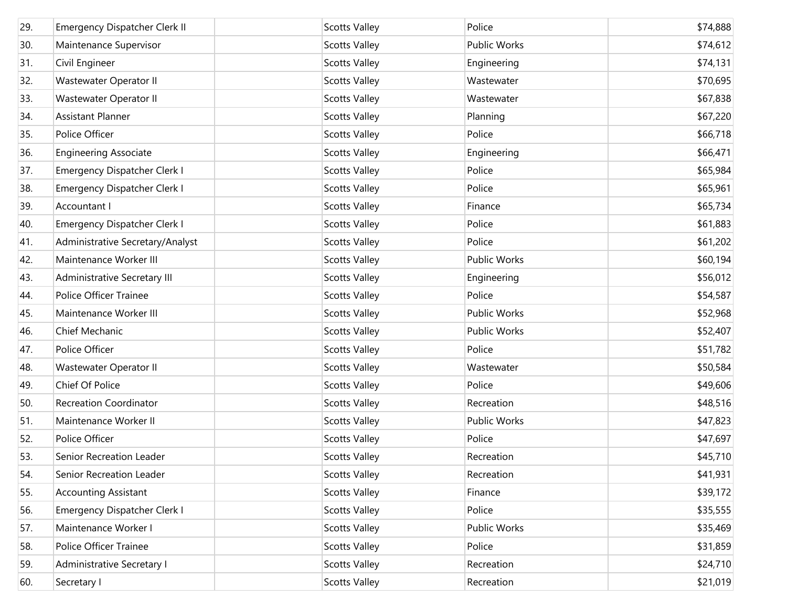| 29. | <b>Emergency Dispatcher Clerk II</b> | <b>Scotts Valley</b> | Police              | \$74,888 |
|-----|--------------------------------------|----------------------|---------------------|----------|
| 30. | Maintenance Supervisor               | <b>Scotts Valley</b> | <b>Public Works</b> | \$74,612 |
| 31. | Civil Engineer                       | <b>Scotts Valley</b> | Engineering         | \$74,131 |
| 32. | Wastewater Operator II               | <b>Scotts Valley</b> | Wastewater          | \$70,695 |
| 33. | Wastewater Operator II               | <b>Scotts Valley</b> | Wastewater          | \$67,838 |
| 34. | <b>Assistant Planner</b>             | <b>Scotts Valley</b> | Planning            | \$67,220 |
| 35. | Police Officer                       | <b>Scotts Valley</b> | Police              | \$66,718 |
| 36. | <b>Engineering Associate</b>         | <b>Scotts Valley</b> | Engineering         | \$66,471 |
| 37. | <b>Emergency Dispatcher Clerk I</b>  | <b>Scotts Valley</b> | Police              | \$65,984 |
| 38. | <b>Emergency Dispatcher Clerk I</b>  | <b>Scotts Valley</b> | Police              | \$65,961 |
| 39. | Accountant I                         | <b>Scotts Valley</b> | Finance             | \$65,734 |
| 40. | <b>Emergency Dispatcher Clerk I</b>  | <b>Scotts Valley</b> | Police              | \$61,883 |
| 41. | Administrative Secretary/Analyst     | <b>Scotts Valley</b> | Police              | \$61,202 |
| 42. | Maintenance Worker III               | <b>Scotts Valley</b> | <b>Public Works</b> | \$60,194 |
| 43. | Administrative Secretary III         | <b>Scotts Valley</b> | Engineering         | \$56,012 |
| 44. | Police Officer Trainee               | <b>Scotts Valley</b> | Police              | \$54,587 |
| 45. | Maintenance Worker III               | <b>Scotts Valley</b> | <b>Public Works</b> | \$52,968 |
| 46. | Chief Mechanic                       | <b>Scotts Valley</b> | Public Works        | \$52,407 |
| 47. | Police Officer                       | <b>Scotts Valley</b> | Police              | \$51,782 |
| 48. | Wastewater Operator II               | <b>Scotts Valley</b> | Wastewater          | \$50,584 |
| 49. | Chief Of Police                      | <b>Scotts Valley</b> | Police              | \$49,606 |
| 50. | <b>Recreation Coordinator</b>        | <b>Scotts Valley</b> | Recreation          | \$48,516 |
| 51. | Maintenance Worker II                | <b>Scotts Valley</b> | Public Works        | \$47,823 |
| 52. | Police Officer                       | <b>Scotts Valley</b> | Police              | \$47,697 |
| 53. | Senior Recreation Leader             | <b>Scotts Valley</b> | Recreation          | \$45,710 |
| 54. | Senior Recreation Leader             | <b>Scotts Valley</b> | Recreation          | \$41,931 |
| 55. | <b>Accounting Assistant</b>          | <b>Scotts Valley</b> | Finance             | \$39,172 |
| 56. | <b>Emergency Dispatcher Clerk I</b>  | <b>Scotts Valley</b> | Police              | \$35,555 |
| 57. | Maintenance Worker I                 | <b>Scotts Valley</b> | Public Works        | \$35,469 |
| 58. | Police Officer Trainee               | <b>Scotts Valley</b> | Police              | \$31,859 |
| 59. | Administrative Secretary I           | <b>Scotts Valley</b> | Recreation          | \$24,710 |
| 60. | Secretary I                          | <b>Scotts Valley</b> | Recreation          | \$21,019 |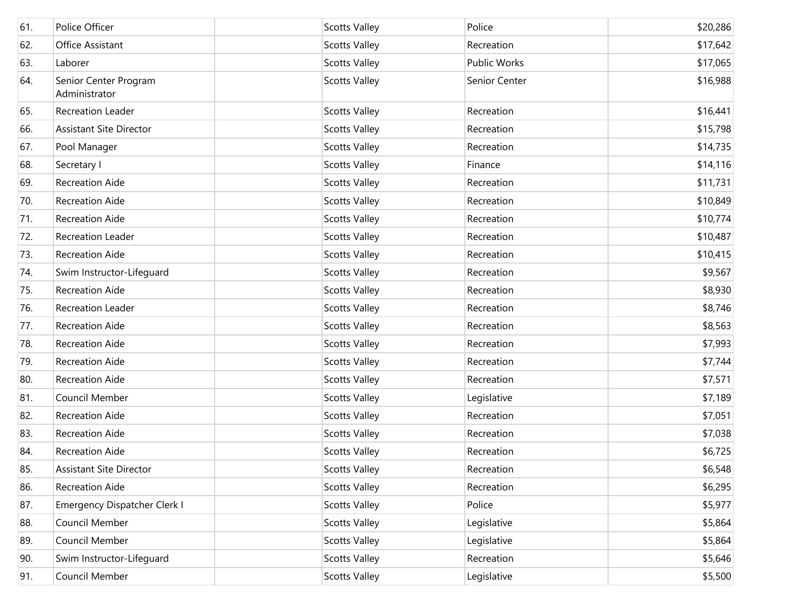| 61. | Police Officer                         | <b>Scotts Valley</b> | Police        | \$20,286 |
|-----|----------------------------------------|----------------------|---------------|----------|
| 62. | Office Assistant                       | <b>Scotts Valley</b> | Recreation    | \$17,642 |
| 63. | Laborer                                | <b>Scotts Valley</b> | Public Works  | \$17,065 |
| 64. | Senior Center Program<br>Administrator | <b>Scotts Valley</b> | Senior Center | \$16,988 |
| 65. | Recreation Leader                      | <b>Scotts Valley</b> | Recreation    | \$16,441 |
| 66. | <b>Assistant Site Director</b>         | <b>Scotts Valley</b> | Recreation    | \$15,798 |
| 67. | Pool Manager                           | <b>Scotts Valley</b> | Recreation    | \$14,735 |
| 68. | Secretary I                            | <b>Scotts Valley</b> | Finance       | \$14,116 |
| 69. | <b>Recreation Aide</b>                 | <b>Scotts Valley</b> | Recreation    | \$11,731 |
| 70. | Recreation Aide                        | <b>Scotts Valley</b> | Recreation    | \$10,849 |
| 71. | <b>Recreation Aide</b>                 | <b>Scotts Valley</b> | Recreation    | \$10,774 |
| 72. | Recreation Leader                      | <b>Scotts Valley</b> | Recreation    | \$10,487 |
| 73. | Recreation Aide                        | <b>Scotts Valley</b> | Recreation    | \$10,415 |
| 74. | Swim Instructor-Lifequard              | <b>Scotts Valley</b> | Recreation    | \$9,567  |
| 75. | <b>Recreation Aide</b>                 | <b>Scotts Valley</b> | Recreation    | \$8,930  |
| 76. | Recreation Leader                      | <b>Scotts Valley</b> | Recreation    | \$8,746  |
| 77. | <b>Recreation Aide</b>                 | <b>Scotts Valley</b> | Recreation    | \$8,563  |
| 78. | Recreation Aide                        | <b>Scotts Valley</b> | Recreation    | \$7,993  |
| 79. | Recreation Aide                        | <b>Scotts Valley</b> | Recreation    | \$7,744  |
| 80. | Recreation Aide                        | <b>Scotts Valley</b> | Recreation    | \$7,571  |
| 81. | Council Member                         | <b>Scotts Valley</b> | Legislative   | \$7,189  |
| 82. | Recreation Aide                        | <b>Scotts Valley</b> | Recreation    | \$7,051  |
| 83. | <b>Recreation Aide</b>                 | <b>Scotts Valley</b> | Recreation    | \$7,038  |
| 84. | Recreation Aide                        | <b>Scotts Valley</b> | Recreation    | \$6,725  |
| 85. | <b>Assistant Site Director</b>         | <b>Scotts Valley</b> | Recreation    | \$6,548  |
| 86. | Recreation Aide                        | <b>Scotts Valley</b> | Recreation    | \$6,295  |
| 87. | Emergency Dispatcher Clerk I           | <b>Scotts Valley</b> | Police        | \$5,977  |
| 88. | Council Member                         | <b>Scotts Valley</b> | Legislative   | \$5,864  |
| 89. | Council Member                         | <b>Scotts Valley</b> | Legislative   | \$5,864  |
| 90. | Swim Instructor-Lifeguard              | <b>Scotts Valley</b> | Recreation    | \$5,646  |
| 91. | Council Member                         | <b>Scotts Valley</b> | Legislative   | \$5,500  |